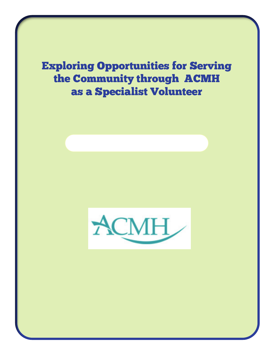Exploring Opportunities for Serving the Community through ACMH as a Specialist Volunteer

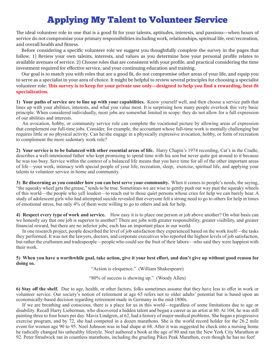# Applying My Talent to Volunteer Service

The ideal volunteer role in one that is a good fit for your talents, aptitudes, interests, and passions—when hours of service do not compromise your primary responsibilities including work, relationships, spiritual life, rest/recreation, and overall health and fitness.

Before considering a specific volunteer role we suggest you thoughtfully complete the survey in the pages that follow. 1) Review your own talents, interests, and values as you determine how your personal profile relates to available avenues of service. 2) Choose roles that are consistent with your profile, and practical considering the time investment required for effective service, and your continuing education and training.

Our goal is to match you with roles that are a good fit, do not compromise other areas of your life, and equip you to serve as a specialist in your area of choice. It might be helpful to review several principles for choosing a specialist volunteer role: **This survey is to keep for your private use only—designed to help you find a rewarding, best-fit specialization.**

**1) Your paths of service are to line up with your capabilities.** Know yourself well, and then choose a service path that lines up with your abilities, interests, and what you value most. It is surprising how many people overlook this very basic principle. When considered individually, most jobs are somewhat limited in scope: they do not allow for a full expression of our abilities and interests.

An avocation, hobby, or community service role can complete the vocational picture by allowing areas of expression that complement our full-time jobs. Consider, for example, the accountant whose full-time work is mentally challenging but requires little or no physical activity. Can he/she engage in a physically expressive avocation, hobby, or form of recreation to complement the more sedentary work role?

**2) Your service is to be balanced with other essential areas of life.** Harry Chapin's 1974 recording, Cat's in the Cradle, describes a well-intentioned father who kept promising to spend time with his son but never quite got around to it because he was too busy. Service within the context of a balanced life means that you have time for all of the other important areas of life—your work, intimacy with special people of your life, recreation, sleep, exercise, spiritual life, and applying your talents to volunteer service in home and community.

**3) Be discerning as you consider how you can best serve your community.** When it comes to people's needs, the saying, "the squeaky wheel gets the grease," tends to be true. Sometimes we are wise to gently push our way past the squeaky wheels of this world—the people who yell loudest—to reach out to those quiet persons whose cries for help we can barely hear. A study of adolescent girls who had attempted suicide revealed that everyone felt a strong need to go to others for help in times of emotional stress, but only 4% of them were willing to go to others and ask for help.

**4) Respect every type of work and service.** How easy it is to place one person or job above another? On what basis can we honestly say that one job is superior to another? There are jobs with greater responsibility, greater visibility, and greater financial reward, but there are no inferior jobs; each has an important place in our world.

In one research project, people described the level of job satisfaction they experienced based on the work itself—the tasks they performed. It was not the lawyers, doctors, and corporate executives who reported the highest levels of job satisfaction, but rather the craftsmen and tradespeople—people who could see the fruit of their labors—who said they were happiest with their work.

**5) When you have a worthwhile goal, take action, give it your best effort, and don't give up without good reason for doing so.**

"Action is eloquence." (William Shakespeare)

"80% of success is showing up." (Woody Allen)

**6) Stay off the shelf.** Due to age, health, or other factors, folks sometimes assume that they have less to offer in work or volunteer service. Our society's notion of retirement at age 65 refers not to older adults' potential but is based upon an economically-based decision regarding retirement made in Germany in the mid-1800s.

If we are breathing and conscious, there is a place for us in this world—regardless of some limitations due to age or disability. Recall Harry Lieberman, who discovered a hidden talent and began a career as an artist at 80. At 104, he was still painting three to four hours per day. Mavis Lindgren, at 62, had a history of major medical problems. She began a progressive exercise program, and by 72, she had competed in a dozen marathons. She is the world record holder for the 26.2 mile event for women age 90 to 95. Noel Johnson was in bad shape at 68. After it was suggested he check into a nursing home he radically changed his unhealthy lifestyle. Noel authored a book at the age of 80 and ran the New York City Marathon at 92. Peter Strudwick ran in countless marathons, including the grueling Pikes Peak Marathon, even though he has no feet!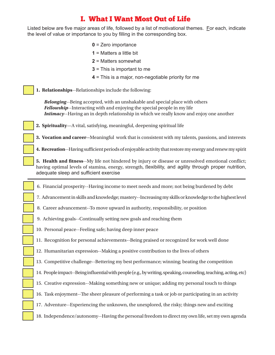## I. What I Want Most Out of Life

Listed below are five major areas of life, followed by a list of motivational themes. For each, indicate the level of value or importance to you by filling in the corresponding box.

- **0** = Zero importance
- **1** = Matters a little bit
- **2** = Matters somewhat
- **3** = This is important to me
- **4** = This is a major, non-negotiable priority for me
- **1. Relationships**--Relationships include the following:

*Belonging*--Being accepted, with an unshakable and special place with others *Fellowship*--Interacting with and enjoying the special people in my life *Intimacy*--Having an in depth relationship in which we really know and enjoy one another

- **2. Spirituality**—A vital, satisfying, meaningful, deepening spiritual life
- **3. Vocation and career--**Meaningful work that is consistent with my talents, passions, and interests
- **4. Recreation**--Having sufficient periods of enjoyable activity that restore my energy and renew my spirit
- **5. Health and fitness**--My life not hindered by injury or disease or unresolved emotional conflict; having optimal levels of stamina, energy, strength, flexibility, and agility through proper nutrition, adequate sleep and sufficient exercise
- 6. Financial prosperity--Having income to meet needs and more; not being burdened by debt
- 7. Advancement in skills and knowledge; mastery--Increasing my skills or knowledge to the highest level
- 8. Career advancement--To move upward in authority, responsibility, or position
- 9. Achieving goals--Continually setting new goals and reaching them
- 10. Personal peace--Feeling safe; having deep inner peace
- 11. Recognition for personal achievements--Being praised or recognized for work well done
- 12. Humanitarian expression--Making a positive contribution to the lives of others
- 13. Competitive challenge--Bettering my best performance; winning; beating the competition
- 14. People impact--Being influential with people (e.g., by writing, speaking, counseling, teaching, acting, etc)
- 15. Creative expression--Making something new or unique; adding my personal touch to things
- 16. Task enjoyment--The sheer pleasure of performing a task or job or participating in an activity
- 17. Adventure--Experiencing the unknown, the unexplored, the risky; things new and exciting
- 18. Independence/autonomy--Having the personal freedom to direct my own life, set my own agenda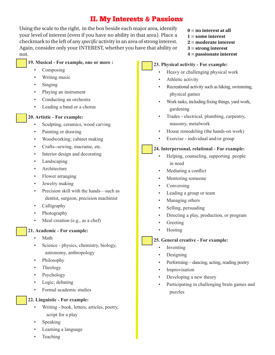## II. My Interests & Passions

Using the scale to the right, in the box beside each major area, identify your level of interest (even if you have no ability in that area). Place a checkmark to the left of any *specific* activity in an area of strong interest. Again, consider only your INTEREST, whether you have that ability or not.

### **19. Musical - For example, one or more :**

- **Composing**
- Writing music
- Singing
- Playing an instrument
- Conducting an orchestra
- Leading a band or a chorus

#### **20. Artistic - For example:**

- Sculpting, ceramics, wood carving
- Painting or drawing
- Woodworking; cabinet making
- Crafts--sewing, macrame, etc.
- Interior design and decorating
- Landscaping
- Architecture
- Flower arranging
- Jewelry making
- Precision skill with the hands—such as dentist, surgeon, precision machinist
- Calligraphy
- Photography
- Meal creation (e.g., as a chef)

### **21. Academic - For example:**

- Math
- Science physics, chemistry, biology, astronomy, anthropology
- Philosophy
- Theology
- **Psychology**
- Logic; debating
- Formal academic studies
- **22. Linguistic For example:**
	- Writing book, letters, articles, poetry, script for a play
	- **Speaking**
	- Learning a language
	- **Teaching**
- **0 = no interest at all**
- **1 = some interest**
- **2 = moderate interest**
- **3 = strong interest**
- **4 = passionate interest**

#### **23. Physical activity - For example:**

- Heavy or challenging physical work
- Athletic activity
- Recreational activity such as hiking, swimming, physical games
- Work tasks, including fixing things, yard work, gardening
- Trades electrical, plumbing, carpentry, masonry, metalwork
- House remodeling (the hands-on work)
- Exercise individual and/or group

#### **24. Interpersonal, relational - For example:**

- Helping, counseling, supporting people in need
- Mediating a conflict
- Mentoring someone
- **Conversing**
- Leading a group or team
- Managing others
- Selling, persuading
- Directing a play, production, or program
- **Greeting**
- Hosting

### **25. General creative - For example:**

- **Inventing**
- Designing
- Performing—dancing, acting, reading poetry
- **Improvisation**
- Developing a new theory
- Participating in challenging brain games and puzzles

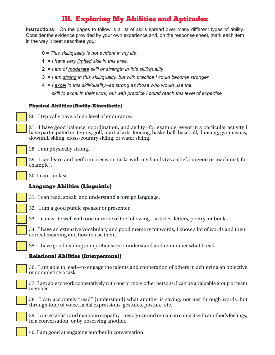## III. Exploring My Abilities and Aptitudes

**Instructions:** On the pages to follow is a list of skills spread over many different types of ability. Consider the evidence provided by your own experience and, on the response sheet, mark each item in the way it best describes you:

- **0** = *This skill/quality is not evident in my life.*
- **1** = *I have very limited skill in this area.*
- **2** = *I am of moderate skill or strength in this skill/quality*
- **3** = *I am strong in this skill/quality, but with practice I could become stronger*
- **4** = *I excel in this skill/quality--as strong as those who would use the*

 *skill to excel in their work, but with practice I could reach this level of expertise*

#### Physical Abilities (Bodily-Kinesthetic)

26. I typically have a high level of endurance.

27. I have good balance, coordination, and agility--for example, event in a particular activity I have participated in: tennis, golf, martial arts, fencing, basketball, baseball, dancing, gymnastics, downhill skiing, cross-country skiing, or water skiing.

28. I am physically strong.

29. I can learn and perform precision tasks with my hands (as a chef, surgeon or machinist, for example).

30. I can run fast.

### Language Abilities (Linguistic)

31. I can read, speak, and understand a foreign language.

32. I am a good public speaker or presenter.

33. I can write well with one or more of the following—articles, letters, poetry, or books.

34. I have an extensive vocabulary and good memory for words; I know a lot of words and their correct meaning and how to use them.

35. I have good reading comprehension; I understand and remember what I read.

### Relational Abilities (Interpersonal)

36. I am able to lead—to engage the talents and cooperation of others in achieving an objective or completing a task.



37. I am able to work cooperatively with one or more other persons; I can be a valuable group or team member.

38. I can accurately "read" (understand) what another is saying, not just through words, but through tone of voice, facial expressions, gestures, posture, etc.



39. I can establish and maintain empathy—recognize and remain in contact with another's feelings, in a conversation, or by observing another.

40. I am good at engaging another in conversation.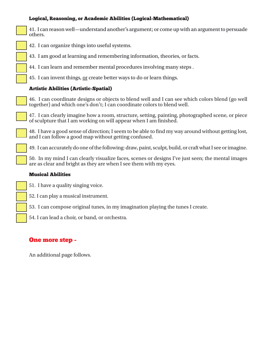#### Logical, Reasoning, or Academic Abilities (Logical-Mathematical)



41. I can reason well—understand another's argument; or come up with an argument to persuade others.

- 42. I can organize things into useful systems.
- 43. I am good at learning and remembering information, theories, or facts.
- 44. I can learn and remember mental procedures involving many steps .
- 45. I can invent things, or create better ways to do or learn things.

#### Artistic Abilities (Artistic-Spatial)

46. I can coordinate designs or objects to blend well and I can see which colors blend (go well together) and which one's don't; I can coordinate colors to blend well.

47. I can clearly imagine how a room, structure, setting, painting, photographed scene, or piece of sculpture that I am working on will appear when I am finished.

48. I have a good sense of direction; I seem to be able to find my way around without getting lost, and I can follow a good map without getting confused.

49. I can accurately do one of the following: draw, paint, sculpt, build, or craft what I see or imagine.

50. In my mind I can clearly visualize faces, scenes or designs I've just seen; the mental images are as clear and bright as they are when I see them with my eyes.

#### Musical Abilities

- 51. I have a quality singing voice.
- 52. I can play a musical instrument.
- 53. I can compose original tunes, in my imagination playing the tunes I create.
- 54. I can lead a choir, or band, or orchestra.

### One more step -

An additional page follows.